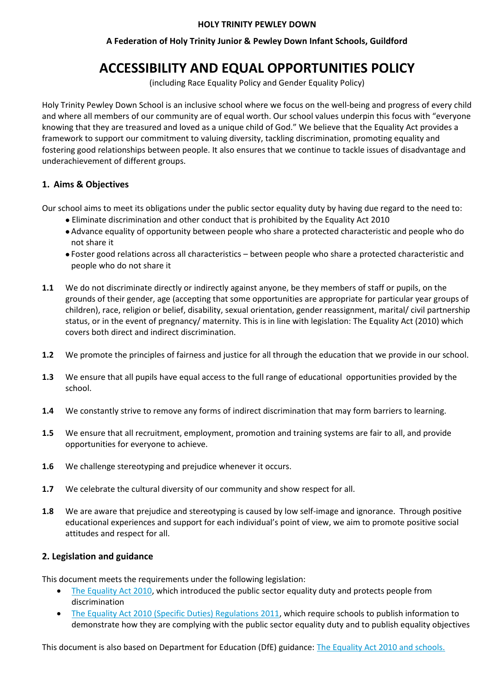#### **HOLY TRINITY PEWLEY DOWN**

# **A Federation of Holy Trinity Junior & Pewley Down Infant Schools, Guildford**

# **ACCESSIBILITY AND EQUAL OPPORTUNITIES POLICY**

(including Race Equality Policy and Gender Equality Policy)

Holy Trinity Pewley Down School is an inclusive school where we focus on the well-being and progress of every child and where all members of our community are of equal worth. Our school values underpin this focus with "everyone knowing that they are treasured and loved as a unique child of God." We believe that the Equality Act provides a framework to support our commitment to valuing diversity, tackling discrimination, promoting equality and fostering good relationships between people. It also ensures that we continue to tackle issues of disadvantage and underachievement of different groups.

# **1. Aims & Objectives**

Our school aims to meet its obligations under the public sector equality duty by having due regard to the need to:

- Eliminate discrimination and other conduct that is prohibited by the Equality Act 2010
- Advance equality of opportunity between people who share a protected characteristic and people who do not share it
- Foster good relations across all characteristics between people who share a protected characteristic and people who do not share it
- **1.1** We do not discriminate directly or indirectly against anyone, be they members of staff or pupils, on the grounds of their gender, age (accepting that some opportunities are appropriate for particular year groups of children), race, religion or belief, disability, sexual orientation, gender reassignment, marital/ civil partnership status, or in the event of pregnancy/ maternity. This is in line with legislation: The Equality Act (2010) which covers both direct and indirect discrimination.
- **1.2** We promote the principles of fairness and justice for all through the education that we provide in our school.
- **1.3** We ensure that all pupils have equal access to the full range of educational opportunities provided by the school.
- **1.4** We constantly strive to remove any forms of indirect discrimination that may form barriers to learning.
- **1.5** We ensure that all recruitment, employment, promotion and training systems are fair to all, and provide opportunities for everyone to achieve.
- **1.6** We challenge stereotyping and prejudice whenever it occurs.
- **1.7** We celebrate the cultural diversity of our community and show respect for all.
- **1.8** We are aware that prejudice and stereotyping is caused by low self-image and ignorance. Through positive educational experiences and support for each individual's point of view, we aim to promote positive social attitudes and respect for all.

#### **2. Legislation and guidance**

This document meets the requirements under the following legislation:

- [The Equality Act 2010,](http://www.legislation.gov.uk/ukpga/2010/15/contents) which introduced the public sector equality duty and protects people from discrimination
- [The Equality Act 2010 \(Specific Duties\) Regulations 2011,](http://www.legislation.gov.uk/uksi/2011/2260/contents/made) which require schools to publish information to demonstrate how they are complying with the public sector equality duty and to publish equality objectives

This document is also based on Department for Education (DfE) guidance: [The Equality Act 2010 and schools.](https://www.gov.uk/government/uploads/system/uploads/attachment_data/file/315587/Equality_Act_Advice_Final.pdf)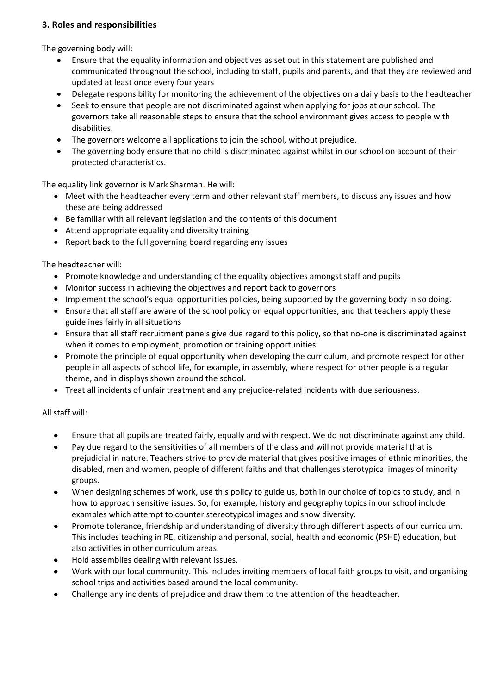# **3. Roles and responsibilities**

The governing body will:

- Ensure that the equality information and objectives as set out in this statement are published and communicated throughout the school, including to staff, pupils and parents, and that they are reviewed and updated at least once every four years
- Delegate responsibility for monitoring the achievement of the objectives on a daily basis to the headteacher
- Seek to ensure that people are not discriminated against when applying for jobs at our school. The governors take all reasonable steps to ensure that the school environment gives access to people with disabilities.
- The governors welcome all applications to join the school, without prejudice.
- The governing body ensure that no child is discriminated against whilst in our school on account of their protected characteristics.

The equality link governor is Mark Sharman. He will:

- Meet with the headteacher every term and other relevant staff members, to discuss any issues and how these are being addressed
- Be familiar with all relevant legislation and the contents of this document
- Attend appropriate equality and diversity training
- Report back to the full governing board regarding any issues

The headteacher will:

- Promote knowledge and understanding of the equality objectives amongst staff and pupils
- Monitor success in achieving the objectives and report back to governors
- Implement the school's equal opportunities policies, being supported by the governing body in so doing.
- Ensure that all staff are aware of the school policy on equal opportunities, and that teachers apply these guidelines fairly in all situations
- Ensure that all staff recruitment panels give due regard to this policy, so that no-one is discriminated against when it comes to employment, promotion or training opportunities
- Promote the principle of equal opportunity when developing the curriculum, and promote respect for other people in all aspects of school life, for example, in assembly, where respect for other people is a regular theme, and in displays shown around the school.
- Treat all incidents of unfair treatment and any prejudice-related incidents with due seriousness.

All staff will:

- Ensure that all pupils are treated fairly, equally and with respect. We do not discriminate against any child.
- Pay due regard to the sensitivities of all members of the class and will not provide material that is prejudicial in nature. Teachers strive to provide material that gives positive images of ethnic minorities, the disabled, men and women, people of different faiths and that challenges sterotypical images of minority groups.
- When designing schemes of work, use this policy to guide us, both in our choice of topics to study, and in how to approach sensitive issues. So, for example, history and geography topics in our school include examples which attempt to counter stereotypical images and show diversity.
- Promote tolerance, friendship and understanding of diversity through different aspects of our curriculum. This includes teaching in RE, citizenship and personal, social, health and economic (PSHE) education, but also activities in other curriculum areas.
- Hold assemblies dealing with relevant issues.
- Work with our local community. This includes inviting members of local faith groups to visit, and organising school trips and activities based around the local community.
- Challenge any incidents of prejudice and draw them to the attention of the headteacher.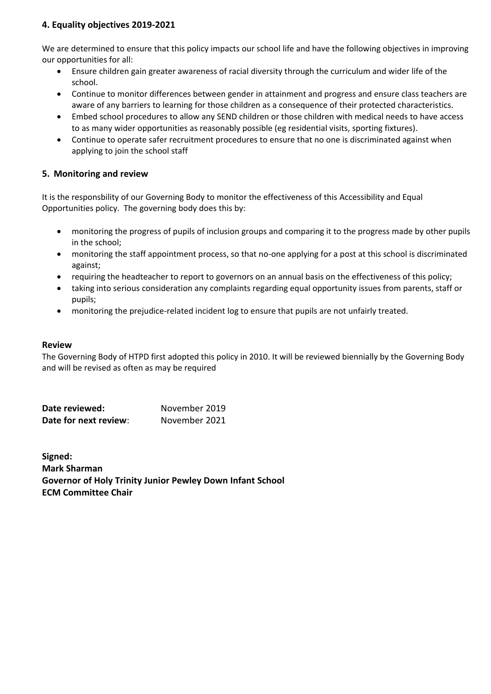# **4. Equality objectives 2019-2021**

We are determined to ensure that this policy impacts our school life and have the following objectives in improving our opportunities for all:

- Ensure children gain greater awareness of racial diversity through the curriculum and wider life of the school.
- Continue to monitor differences between gender in attainment and progress and ensure class teachers are aware of any barriers to learning for those children as a consequence of their protected characteristics.
- Embed school procedures to allow any SEND children or those children with medical needs to have access to as many wider opportunities as reasonably possible (eg residential visits, sporting fixtures).
- Continue to operate safer recruitment procedures to ensure that no one is discriminated against when applying to join the school staff

## **5. Monitoring and review**

It is the responsbility of our Governing Body to monitor the effectiveness of this Accessibility and Equal Opportunities policy. The governing body does this by:

- monitoring the progress of pupils of inclusion groups and comparing it to the progress made by other pupils in the school;
- monitoring the staff appointment process, so that no-one applying for a post at this school is discriminated against;
- requiring the headteacher to report to governors on an annual basis on the effectiveness of this policy;
- taking into serious consideration any complaints regarding equal opportunity issues from parents, staff or pupils;
- monitoring the prejudice-related incident log to ensure that pupils are not unfairly treated.

#### **Review**

The Governing Body of HTPD first adopted this policy in 2010. It will be reviewed biennially by the Governing Body and will be revised as often as may be required

| Date reviewed:        | November 2019 |
|-----------------------|---------------|
| Date for next review: | November 2021 |

**Signed: Mark Sharman Governor of Holy Trinity Junior Pewley Down Infant School ECM Committee Chair**